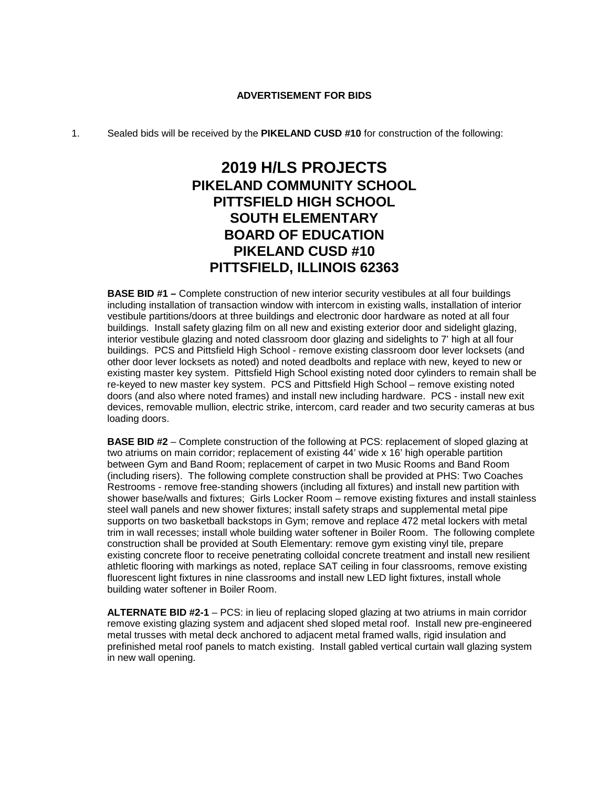### **ADVERTISEMENT FOR BIDS**

### 1. Sealed bids will be received by the **PIKELAND CUSD #10** for construction of the following:

# **2019 H/LS PROJECTS PIKELAND COMMUNITY SCHOOL PITTSFIELD HIGH SCHOOL SOUTH ELEMENTARY BOARD OF EDUCATION PIKELAND CUSD #10 PITTSFIELD, ILLINOIS 62363**

**BASE BID #1 –** Complete construction of new interior security vestibules at all four buildings including installation of transaction window with intercom in existing walls, installation of interior vestibule partitions/doors at three buildings and electronic door hardware as noted at all four buildings. Install safety glazing film on all new and existing exterior door and sidelight glazing, interior vestibule glazing and noted classroom door glazing and sidelights to 7' high at all four buildings. PCS and Pittsfield High School - remove existing classroom door lever locksets (and other door lever locksets as noted) and noted deadbolts and replace with new, keyed to new or existing master key system. Pittsfield High School existing noted door cylinders to remain shall be re-keyed to new master key system. PCS and Pittsfield High School – remove existing noted doors (and also where noted frames) and install new including hardware. PCS - install new exit devices, removable mullion, electric strike, intercom, card reader and two security cameras at bus loading doors.

**BASE BID #2** – Complete construction of the following at PCS: replacement of sloped glazing at two atriums on main corridor; replacement of existing 44' wide x 16' high operable partition between Gym and Band Room; replacement of carpet in two Music Rooms and Band Room (including risers). The following complete construction shall be provided at PHS: Two Coaches Restrooms - remove free-standing showers (including all fixtures) and install new partition with shower base/walls and fixtures; Girls Locker Room – remove existing fixtures and install stainless steel wall panels and new shower fixtures; install safety straps and supplemental metal pipe supports on two basketball backstops in Gym; remove and replace 472 metal lockers with metal trim in wall recesses; install whole building water softener in Boiler Room. The following complete construction shall be provided at South Elementary: remove gym existing vinyl tile, prepare existing concrete floor to receive penetrating colloidal concrete treatment and install new resilient athletic flooring with markings as noted, replace SAT ceiling in four classrooms, remove existing fluorescent light fixtures in nine classrooms and install new LED light fixtures, install whole building water softener in Boiler Room.

**ALTERNATE BID #2-1** – PCS: in lieu of replacing sloped glazing at two atriums in main corridor remove existing glazing system and adjacent shed sloped metal roof. Install new pre-engineered metal trusses with metal deck anchored to adjacent metal framed walls, rigid insulation and prefinished metal roof panels to match existing. Install gabled vertical curtain wall glazing system in new wall opening.